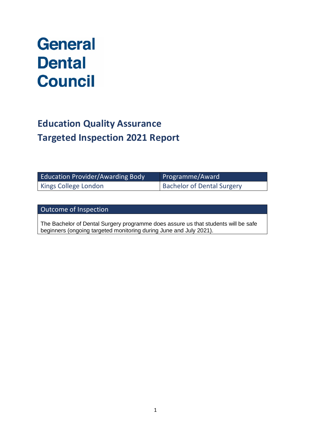# **General Dental Council**

# **Education Quality Assurance Targeted Inspection 2021 Report**

| <b>Education Provider/Awarding Body</b> | Programme/Award                   |
|-----------------------------------------|-----------------------------------|
| <b>Kings College London</b>             | <b>Bachelor of Dental Surgery</b> |

Outcome of Inspection

The Bachelor of Dental Surgery programme does assure us that students will be safe beginners (ongoing targeted monitoring during June and July 2021).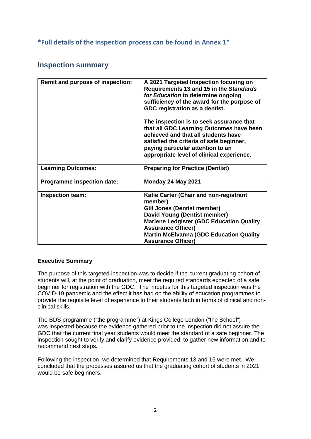### **\*Full details of the inspection process can be found in Annex 1\***

## **Inspection summary**

| Remit and purpose of inspection:  | A 2021 Targeted Inspection focusing on<br>Requirements 13 and 15 in the Standards<br>for Education to determine ongoing<br>sufficiency of the award for the purpose of<br>GDC registration as a dentist.<br>The inspection is to seek assurance that<br>that all GDC Learning Outcomes have been<br>achieved and that all students have<br>satisfied the criteria of safe beginner,<br>paying particular attention to an |
|-----------------------------------|--------------------------------------------------------------------------------------------------------------------------------------------------------------------------------------------------------------------------------------------------------------------------------------------------------------------------------------------------------------------------------------------------------------------------|
|                                   | appropriate level of clinical experience.                                                                                                                                                                                                                                                                                                                                                                                |
| <b>Learning Outcomes:</b>         | <b>Preparing for Practice (Dentist)</b>                                                                                                                                                                                                                                                                                                                                                                                  |
| <b>Programme inspection date:</b> | Monday 24 May 2021                                                                                                                                                                                                                                                                                                                                                                                                       |
| <b>Inspection team:</b>           | Katie Carter (Chair and non-registrant<br>member)                                                                                                                                                                                                                                                                                                                                                                        |
|                                   | Gill Jones (Dentist member)                                                                                                                                                                                                                                                                                                                                                                                              |
|                                   | David Young (Dentist member)                                                                                                                                                                                                                                                                                                                                                                                             |
|                                   | <b>Marlene Ledgister (GDC Education Quality</b>                                                                                                                                                                                                                                                                                                                                                                          |
|                                   | <b>Assurance Officer)</b>                                                                                                                                                                                                                                                                                                                                                                                                |
|                                   | <b>Martin McElvanna (GDC Education Quality</b><br><b>Assurance Officer)</b>                                                                                                                                                                                                                                                                                                                                              |

#### **Executive Summary**

The purpose of this targeted inspection was to decide if the current graduating cohort of students will, at the point of graduation, meet the required standards expected of a safe beginner for registration with the GDC. The impetus for this targeted inspection was the COVID-19 pandemic and the effect it has had on the ability of education programmes to provide the requisite level of experience to their students both in terms of clinical and nonclinical skills.

The BDS programme ("the programme") at Kings College London ("the School") was inspected because the evidence gathered prior to the inspection did not assure the GDC that the current final year students would meet the standard of a safe beginner. The inspection sought to verify and clarify evidence provided, to gather new information and to recommend next steps.

Following the inspection, we determined that Requirements 13 and 15 were met. We concluded that the processes assured us that the graduating cohort of students in 2021 would be safe beginners.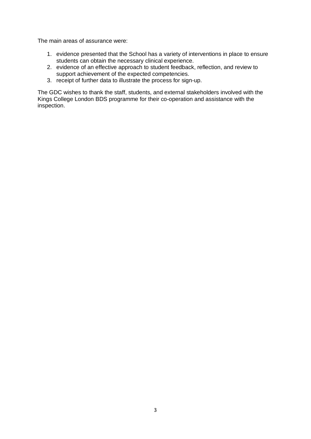The main areas of assurance were:

- 1. evidence presented that the School has a variety of interventions in place to ensure students can obtain the necessary clinical experience.
- 2. evidence of an effective approach to student feedback, reflection, and review to support achievement of the expected competencies.
- 3. receipt of further data to illustrate the process for sign-up.

The GDC wishes to thank the staff, students, and external stakeholders involved with the Kings College London BDS programme for their co-operation and assistance with the inspection.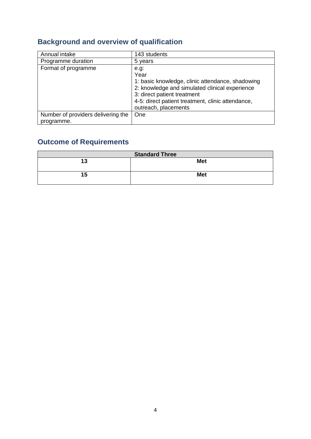# **Background and overview of qualification**

| Annual intake                                    | 143 students                                                                                                                                                                                                                   |
|--------------------------------------------------|--------------------------------------------------------------------------------------------------------------------------------------------------------------------------------------------------------------------------------|
| Programme duration                               | 5 years                                                                                                                                                                                                                        |
| Format of programme                              | e.g:<br>Year<br>1: basic knowledge, clinic attendance, shadowing<br>2: knowledge and simulated clinical experience<br>3: direct patient treatment<br>4-5: direct patient treatment, clinic attendance,<br>outreach, placements |
| Number of providers delivering the<br>programme. | One                                                                                                                                                                                                                            |

# **Outcome of Requirements**

| <b>Standard Three</b> |            |  |
|-----------------------|------------|--|
| 13                    | <b>Met</b> |  |
| 15                    | <b>Met</b> |  |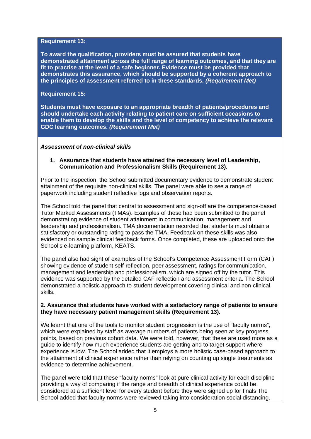#### **Requirement 13:**

**To award the qualification, providers must be assured that students have demonstrated attainment across the full range of learning outcomes, and that they are fit to practise at the level of a safe beginner. Evidence must be provided that demonstrates this assurance, which should be supported by a coherent approach to the principles of assessment referred to in these standards.** *(Requirement Met)* 

#### **Requirement 15:**

**Students must have exposure to an appropriate breadth of patients/procedures and should undertake each activity relating to patient care on sufficient occasions to enable them to develop the skills and the level of competency to achieve the relevant GDC learning outcomes.** *(Requirement Met)*

#### *Assessment of non-clinical skills*

#### **1. Assurance that students have attained the necessary level of Leadership, Communication and Professionalism Skills (Requirement 13).**

Prior to the inspection, the School submitted documentary evidence to demonstrate student attainment of the requisite non-clinical skills. The panel were able to see a range of paperwork including student reflective logs and observation reports.

The School told the panel that central to assessment and sign-off are the competence-based Tutor Marked Assessments (TMAs). Examples of these had been submitted to the panel demonstrating evidence of student attainment in communication, management and leadership and professionalism. TMA documentation recorded that students must obtain a satisfactory or outstanding rating to pass the TMA. Feedback on these skills was also evidenced on sample clinical feedback forms. Once completed, these are uploaded onto the School's e-learning platform, KEATS.

The panel also had sight of examples of the School's Competence Assessment Form (CAF) showing evidence of student self-reflection, peer assessment, ratings for communication, management and leadership and professionalism, which are signed off by the tutor. This evidence was supported by the detailed CAF reflection and assessment criteria. The School demonstrated a holistic approach to student development covering clinical and non-clinical skills.

#### **2. Assurance that students have worked with a satisfactory range of patients to ensure they have necessary patient management skills (Requirement 13).**

We learnt that one of the tools to monitor student progression is the use of "faculty norms", which were explained by staff as average numbers of patients being seen at key progress points, based on previous cohort data. We were told, however, that these are used more as a guide to identify how much experience students are getting and to target support where experience is low. The School added that it employs a more holistic case-based approach to the attainment of clinical experience rather than relying on counting up single treatments as evidence to determine achievement.

The panel were told that these "faculty norms" look at pure clinical activity for each discipline providing a way of comparing if the range and breadth of clinical experience could be considered at a sufficient level for every student before they were signed up for finals The School added that faculty norms were reviewed taking into consideration social distancing.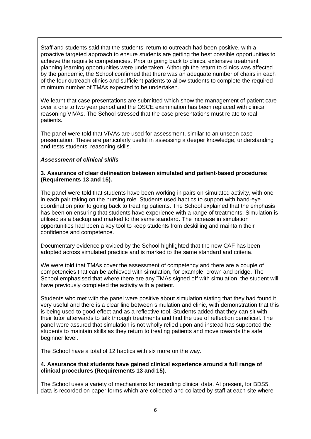Staff and students said that the students' return to outreach had been positive, with a proactive targeted approach to ensure students are getting the best possible opportunities to achieve the requisite competencies. Prior to going back to clinics, extensive treatment planning learning opportunities were undertaken. Although the return to clinics was affected by the pandemic, the School confirmed that there was an adequate number of chairs in each of the four outreach clinics and sufficient patients to allow students to complete the required minimum number of TMAs expected to be undertaken.

We learnt that case presentations are submitted which show the management of patient care over a one to two year period and the OSCE examination has been replaced with clinical reasoning VIVAs. The School stressed that the case presentations must relate to real patients.

The panel were told that VIVAs are used for assessment, similar to an unseen case presentation. These are particularly useful in assessing a deeper knowledge, understanding and tests students' reasoning skills.

#### *Assessment of clinical skills*

#### **3. Assurance of clear delineation between simulated and patient-based procedures (Requirements 13 and 15).**

The panel were told that students have been working in pairs on simulated activity, with one in each pair taking on the nursing role. Students used haptics to support with hand-eye coordination prior to going back to treating patients. The School explained that the emphasis has been on ensuring that students have experience with a range of treatments. Simulation is utilised as a backup and marked to the same standard. The increase in simulation opportunities had been a key tool to keep students from deskilling and maintain their confidence and competence.

Documentary evidence provided by the School highlighted that the new CAF has been adopted across simulated practice and is marked to the same standard and criteria.

We were told that TMAs cover the assessment of competency and there are a couple of competencies that can be achieved with simulation, for example, crown and bridge. The School emphasised that where there are any TMAs signed off with simulation, the student will have previously completed the activity with a patient.

Students who met with the panel were positive about simulation stating that they had found it very useful and there is a clear line between simulation and clinic, with demonstration that this is being used to good effect and as a reflective tool. Students added that they can sit with their tutor afterwards to talk through treatments and find the use of reflection beneficial. The panel were assured that simulation is not wholly relied upon and instead has supported the students to maintain skills as they return to treating patients and move towards the safe beginner level.

The School have a total of 12 haptics with six more on the way.

#### **4. Assurance that students have gained clinical experience around a full range of clinical procedures (Requirements 13 and 15).**

The School uses a variety of mechanisms for recording clinical data. At present, for BDS5, data is recorded on paper forms which are collected and collated by staff at each site where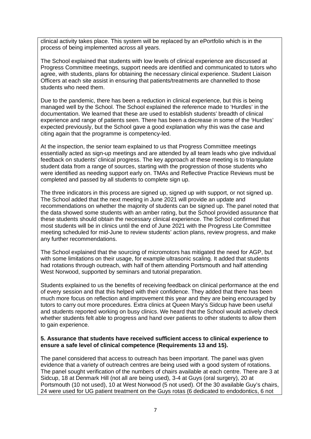clinical activity takes place. This system will be replaced by an ePortfolio which is in the process of being implemented across all years.

The School explained that students with low levels of clinical experience are discussed at Progress Committee meetings, support needs are identified and communicated to tutors who agree, with students, plans for obtaining the necessary clinical experience. Student Liaison Officers at each site assist in ensuring that patients/treatments are channelled to those students who need them.

Due to the pandemic, there has been a reduction in clinical experience, but this is being managed well by the School. The School explained the reference made to 'Hurdles' in the documentation. We learned that these are used to establish students' breadth of clinical experience and range of patients seen. There has been a decrease in some of the 'Hurdles' expected previously, but the School gave a good explanation why this was the case and citing again that the programme is competency-led.

At the inspection, the senior team explained to us that Progress Committee meetings essentially acted as sign-up meetings and are attended by all team leads who give individual feedback on students' clinical progress. The key approach at these meeting is to triangulate student data from a range of sources, starting with the progression of those students who were identified as needing support early on. TMAs and Reflective Practice Reviews must be completed and passed by all students to complete sign up.

The three indicators in this process are signed up, signed up with support, or not signed up. The School added that the next meeting in June 2021 will provide an update and recommendations on whether the majority of students can be signed up. The panel noted that the data showed some students with an amber rating, but the School provided assurance that these students should obtain the necessary clinical experience. The School confirmed that most students will be in clinics until the end of June 2021 with the Progress Lite Committee meeting scheduled for mid-June to review students' action plans, review progress, and make any further recommendations.

The School explained that the sourcing of micromotors has mitigated the need for AGP, but with some limitations on their usage, for example ultrasonic scaling. It added that students had rotations through outreach, with half of them attending Portsmouth and half attending West Norwood, supported by seminars and tutorial preparation.

Students explained to us the benefits of receiving feedback on clinical performance at the end of every session and that this helped with their confidence. They added that there has been much more focus on reflection and improvement this year and they are being encouraged by tutors to carry out more procedures. Extra clinics at Queen Mary's Sidcup have been useful and students reported working on busy clinics. We heard that the School would actively check whether students felt able to progress and hand over patients to other students to allow them to gain experience.

#### **5. Assurance that students have received sufficient access to clinical experience to ensure a safe level of clinical competence (Requirements 13 and 15).**

The panel considered that access to outreach has been important. The panel was given evidence that a variety of outreach centres are being used with a good system of rotations. The panel sought verification of the numbers of chairs available at each centre. There are 3 at Sidcup, 18 at Denmark Hill (not all are being used), 3-4 at Guys (oral surgery), 20 at Portsmouth (10 not used), 10 at West Norwood (5 not used). Of the 30 available Guy's chairs, 24 were used for UG patient treatment on the Guys rotas (6 dedicated to endodontics, 6 not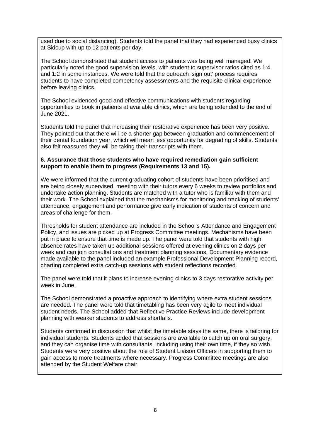used due to social distancing). Students told the panel that they had experienced busy clinics at Sidcup with up to 12 patients per day.

The School demonstrated that student access to patients was being well managed. We particularly noted the good supervision levels, with student to supervisor ratios cited as 1:4 and 1:2 in some instances. We were told that the outreach 'sign out' process requires students to have completed competency assessments and the requisite clinical experience before leaving clinics.

The School evidenced good and effective communications with students regarding opportunities to book in patients at available clinics, which are being extended to the end of June 2021.

Students told the panel that increasing their restorative experience has been very positive. They pointed out that there will be a shorter gap between graduation and commencement of their dental foundation year, which will mean less opportunity for degrading of skills. Students also felt reassured they will be taking their transcripts with them.

#### **6. Assurance that those students who have required remediation gain sufficient support to enable them to progress (Requirements 13 and 15).**

We were informed that the current graduating cohort of students have been prioritised and are being closely supervised, meeting with their tutors every 6 weeks to review portfolios and undertake action planning. Students are matched with a tutor who is familiar with them and their work. The School explained that the mechanisms for monitoring and tracking of students' attendance, engagement and performance give early indication of students of concern and areas of challenge for them.

Thresholds for student attendance are included in the School's Attendance and Engagement Policy, and issues are picked up at Progress Committee meetings. Mechanisms have been put in place to ensure that time is made up. The panel were told that students with high absence rates have taken up additional sessions offered at evening clinics on 2 days per week and can join consultations and treatment planning sessions. Documentary evidence made available to the panel included an example Professional Development Planning record, charting completed extra catch-up sessions with student reflections recorded.

The panel were told that it plans to increase evening clinics to 3 days restorative activity per week in June.

The School demonstrated a proactive approach to identifying where extra student sessions are needed. The panel were told that timetabling has been very agile to meet individual student needs. The School added that Reflective Practice Reviews include development planning with weaker students to address shortfalls.

Students confirmed in discussion that whilst the timetable stays the same, there is tailoring for individual students. Students added that sessions are available to catch up on oral surgery, and they can organise time with consultants, including using their own time, if they so wish. Students were very positive about the role of Student Liaison Officers in supporting them to gain access to more treatments where necessary. Progress Committee meetings are also attended by the Student Welfare chair.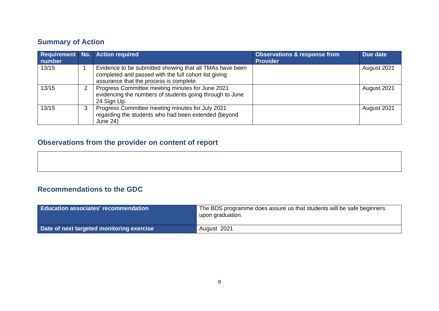# **Summary of Action**

| number |   | Requirement No. Action required                                                                                                                              | <b>Observations &amp; response from</b><br><b>Provider</b> | Due date    |
|--------|---|--------------------------------------------------------------------------------------------------------------------------------------------------------------|------------------------------------------------------------|-------------|
| 13/15  |   | Evidence to be submitted showing that all TMAs have been<br>completed and passed with the full cohort list giving<br>assurance that the process is complete. |                                                            | August 2021 |
| 13/15  | 2 | Progress Committee meeting minutes for June 2021<br>evidencing the numbers of students going through to June<br>24 Sign Up.                                  |                                                            | August 2021 |
| 13/15  | 3 | Progress Committee meeting minutes for July 2021<br>regarding the students who had been extended (beyond<br><b>June 24)</b>                                  |                                                            | August 2021 |

# **Observations from the provider on content of report**

# **Recommendations to the GDC**

| Education associates' recommendation      | The BDS programme does assure us that students will be safe beginners<br>upon graduation. |
|-------------------------------------------|-------------------------------------------------------------------------------------------|
| Date of next targeted monitoring exercise | August 2021                                                                               |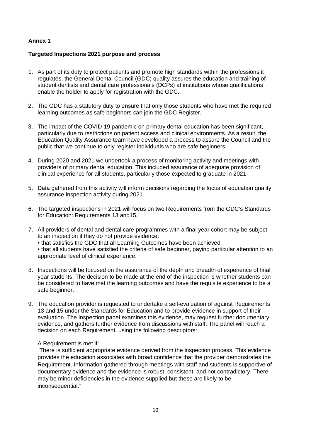#### **Annex 1**

#### **Targeted Inspections 2021 purpose and process**

- 1. As part of its duty to protect patients and promote high standards within the professions it regulates, the General Dental Council (GDC) quality assures the education and training of student dentists and dental care professionals (DCPs) at institutions whose qualifications enable the holder to apply for registration with the GDC.
- 2. The GDC has a statutory duty to ensure that only those students who have met the required learning outcomes as safe beginners can join the GDC Register.
- 3. The impact of the COVID-19 pandemic on primary dental education has been significant, particularly due to restrictions on patient access and clinical environments. As a result, the Education Quality Assurance team have developed a process to assure the Council and the public that we continue to only register individuals who are safe beginners.
- 4. During 2020 and 2021 we undertook a process of monitoring activity and meetings with providers of primary dental education. This included assurance of adequate provision of clinical experience for all students, particularly those expected to graduate in 2021.
- 5. Data gathered from this activity will inform decisions regarding the focus of education quality assurance inspection activity during 2021.
- 6. The targeted inspections in 2021 will focus on two Requirements from the GDC's Standards for Education: Requirements 13 and15.
- 7. All providers of dental and dental care programmes with a final year cohort may be subject to an inspection if they do not provide evidence:
	- that satisfies the GDC that all Learning Outcomes have been achieved

• that all students have satisfied the criteria of safe beginner, paying particular attention to an appropriate level of clinical experience.

- 8. Inspections will be focused on the assurance of the depth and breadth of experience of final year students. The decision to be made at the end of the inspection is whether students can be considered to have met the learning outcomes and have the requisite experience to be a safe beginner.
- 9. The education provider is requested to undertake a self-evaluation of against Requirements 13 and 15 under the Standards for Education and to provide evidence in support of their evaluation. The inspection panel examines this evidence, may request further documentary evidence, and gathers further evidence from discussions with staff. The panel will reach a decision on each Requirement, using the following descriptors:

#### A Requirement is met if:

"There is sufficient appropriate evidence derived from the inspection process. This evidence provides the education associates with broad confidence that the provider demonstrates the Requirement. Information gathered through meetings with staff and students is supportive of documentary evidence and the evidence is robust, consistent, and not contradictory. There may be minor deficiencies in the evidence supplied but these are likely to be inconsequential."